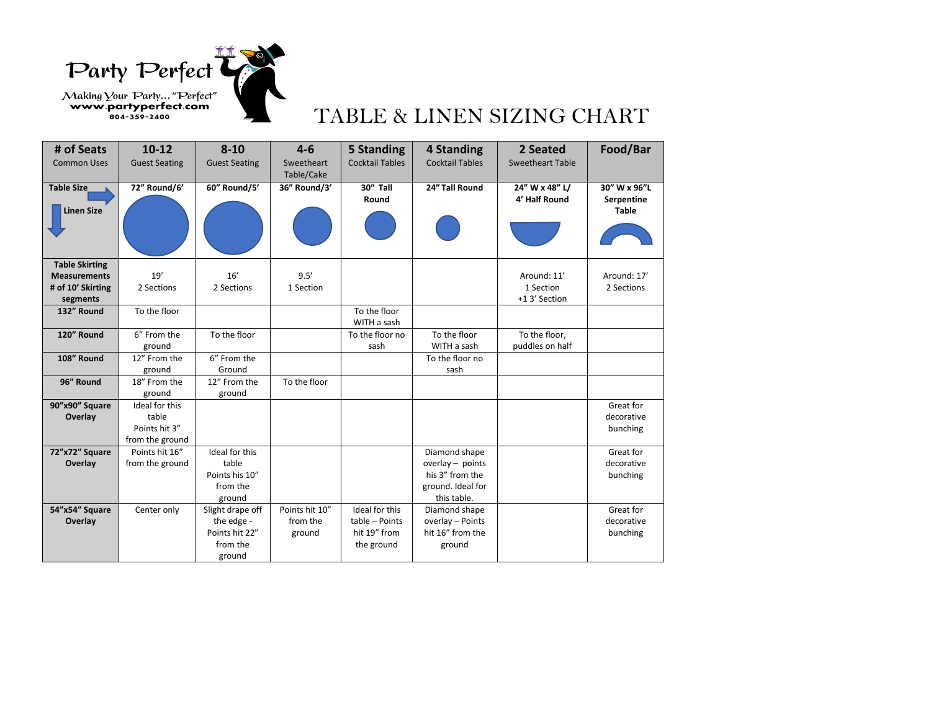Party Perfect

## Making Your Party... "Perfect"<br> **EXECUTE:** EXELINEN SIZING CHART

| # of Seats                    | $10 - 12$              | $8 - 10$              | $4 - 6$                  | 5 Standing             | 4 Standing             | 2 Seated                 | Food/Bar                   |
|-------------------------------|------------------------|-----------------------|--------------------------|------------------------|------------------------|--------------------------|----------------------------|
| <b>Common Uses</b>            | <b>Guest Seating</b>   | <b>Guest Seating</b>  | Sweetheart<br>Table/Cake | <b>Cocktail Tables</b> | <b>Cocktail Tables</b> | <b>Sweetheart Table</b>  |                            |
| <b>Table Size</b>             | 72" Round/6'           | 60" Round/5'          | 36" Round/3'             | 30" Tall               | 24" Tall Round         | 24" W x 48" L/           | 30" W x 96"L               |
| <b>Linen Size</b>             |                        |                       |                          | Round                  |                        | 4' Half Round            | Serpentine<br><b>Table</b> |
|                               |                        |                       |                          |                        |                        |                          |                            |
|                               |                        |                       |                          |                        |                        |                          |                            |
| <b>Table Skirting</b>         |                        |                       |                          |                        |                        |                          |                            |
| <b>Measurements</b>           | 19'<br>2 Sections      | 16'<br>2 Sections     | 9.5'<br>1 Section        |                        |                        | Around: 11'<br>1 Section | Around: 17'<br>2 Sections  |
| # of 10' Skirting<br>segments |                        |                       |                          |                        |                        | +1 3' Section            |                            |
| 132" Round                    | To the floor           |                       |                          | To the floor           |                        |                          |                            |
|                               |                        |                       |                          | WITH a sash            |                        |                          |                            |
| 120" Round                    | 6" From the            | To the floor          |                          | To the floor no        | To the floor           | To the floor.            |                            |
|                               | ground                 |                       |                          | sash                   | WITH a sash            | puddles on half          |                            |
| 108" Round                    | 12" From the           | 6" From the<br>Ground |                          |                        | To the floor no        |                          |                            |
| 96" Round                     | ground<br>18" From the | 12" From the          | To the floor             |                        | sash                   |                          |                            |
|                               | ground                 | ground                |                          |                        |                        |                          |                            |
| 90"x90" Square                | Ideal for this         |                       |                          |                        |                        |                          | Great for                  |
| Overlay                       | table                  |                       |                          |                        |                        |                          | decorative                 |
|                               | Points hit 3"          |                       |                          |                        |                        |                          | bunching                   |
|                               | from the ground        |                       |                          |                        |                        |                          |                            |
| 72"x72" Square                | Points hit 16"         | Ideal for this        |                          |                        | Diamond shape          |                          | Great for                  |
| Overlay                       | from the ground        | table                 |                          |                        | overlay $-$ points     |                          | decorative                 |
|                               |                        | Points his 10"        |                          |                        | his 3" from the        |                          | bunching                   |
|                               |                        | from the              |                          |                        | ground. Ideal for      |                          |                            |
|                               |                        | ground                |                          |                        | this table.            |                          |                            |
| 54"x54" Square                | Center only            | Slight drape off      | Points hit 10"           | Ideal for this         | Diamond shape          |                          | Great for                  |
| Overlay                       |                        | the edge -            | from the                 | table - Points         | overlay - Points       |                          | decorative                 |
|                               |                        | Points hit 22"        | ground                   | hit 19" from           | hit 16" from the       |                          | bunching                   |
|                               |                        | from the              |                          | the ground             | ground                 |                          |                            |
|                               |                        | ground                |                          |                        |                        |                          |                            |